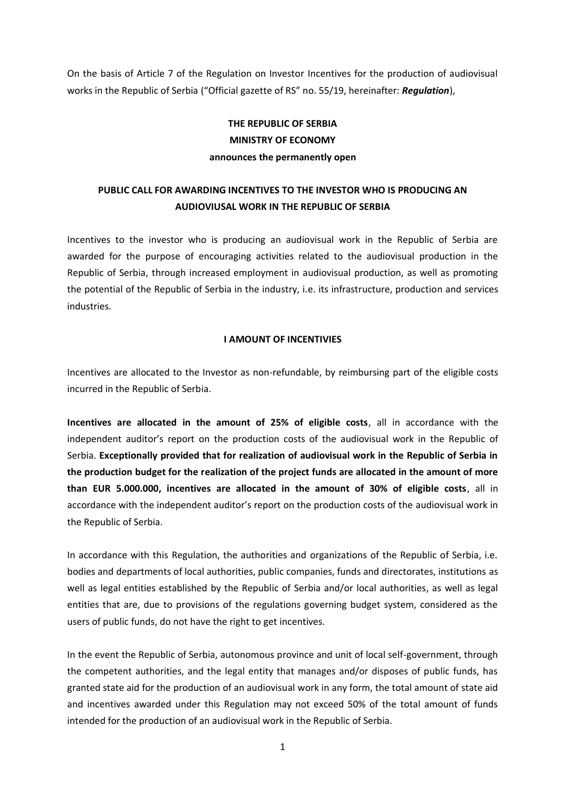On the basis of Article 7 of the Regulation on Investor Incentives for the production of audiovisual works in the Republic of Serbia ("Official gazette of RS" no. 55/19, hereinafter: *Regulation*),

# **THE REPUBLIC OF SERBIA MINISTRY OF ECONOMY announces the permanently open**

## **PUBLIC CALL FOR AWARDING INCENTIVES TO THE INVESTOR WHO IS PRODUCING AN AUDIOVIUSAL WORK IN THE REPUBLIC OF SERBIA**

Incentives to the investor who is producing an audiovisual work in the Republic of Serbia are awarded for the purpose of encouraging activities related to the audiovisual production in the Republic of Serbia, through increased employment in audiovisual production, as well as promoting the potential of the Republic of Serbia in the industry, i.e. its infrastructure, production and services industries.

### **I AMOUNT OF INCENTIVIES**

Incentives are allocated to the Investor as non-refundable, by reimbursing part of the eligible costs incurred in the Republic of Serbia.

**Incentives are allocated in the amount of 25% of eligible costs**, all in accordance with the independent auditor's report on the production costs of the audiovisual work in the Republic of Serbia. **Exceptionally provided that for realization of audiovisual work in the Republic of Serbia in the production budget for the realization of the project funds are allocated in the amount of more than EUR 5.000.000, incentives are allocated in the amount of 30% of eligible costs**, all in accordance with the independent auditor's report on the production costs of the audiovisual work in the Republic of Serbia.

In accordance with this Regulation, the authorities and organizations of the Republic of Serbia, i.e. bodies and departments of local authorities, public companies, funds and directorates, institutions as well as legal entities established by the Republic of Serbia and/or local authorities, as well as legal entities that are, due to provisions of the regulations governing budget system, considered as the users of public funds, do not have the right to get incentives.

In the event the Republic of Serbia, autonomous province and unit of local self-government, through the competent authorities, and the legal entity that manages and/or disposes of public funds, has granted state aid for the production of an audiovisual work in any form, the total amount of state aid and incentives awarded under this Regulation may not exceed 50% of the total amount of funds intended for the production of an audiovisual work in the Republic of Serbia.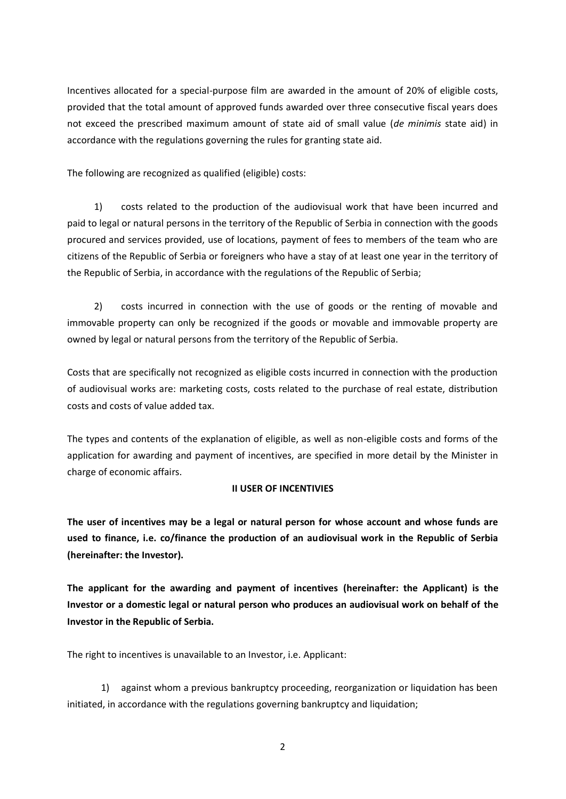Incentives allocated for a special-purpose film are awarded in the amount of 20% of eligible costs, provided that the total amount of approved funds awarded over three consecutive fiscal years does not exceed the prescribed maximum amount of state aid of small value (*de minimis* state aid) in accordance with the regulations governing the rules for granting state aid.

The following are recognized as qualified (eligible) costs:

1) costs related to the production of the audiovisual work that have been incurred and paid to legal or natural persons in the territory of the Republic of Serbia in connection with the goods procured and services provided, use of locations, payment of fees to members of the team who are citizens of the Republic of Serbia or foreigners who have a stay of at least one year in the territory of the Republic of Serbia, in accordance with the regulations of the Republic of Serbia;

2) costs incurred in connection with the use of goods or the renting of movable and immovable property can only be recognized if the goods or movable and immovable property are owned by legal or natural persons from the territory of the Republic of Serbia.

Costs that are specifically not recognized as eligible costs incurred in connection with the production of audiovisual works are: marketing costs, costs related to the purchase of real estate, distribution costs and costs of value added tax.

The types and contents of the explanation of eligible, as well as non-eligible costs and forms of the application for awarding and payment of incentives, are specified in more detail by the Minister in charge of economic affairs.

### **II USER OF INCENTIVIES**

**The user of incentives may be a legal or natural person for whose account and whose funds are used to finance, i.e. co/finance the production of an audiovisual work in the Republic of Serbia (hereinafter: the Investor).**

**The applicant for the awarding and payment of incentives (hereinafter: the Applicant) is the Investor or a domestic legal or natural person who produces an audiovisual work on behalf of the Investor in the Republic of Serbia.**

The right to incentives is unavailable to an Investor, i.e. Applicant:

1) against whom a previous bankruptcy proceeding, reorganization or liquidation has been initiated, in accordance with the regulations governing bankruptcy and liquidation;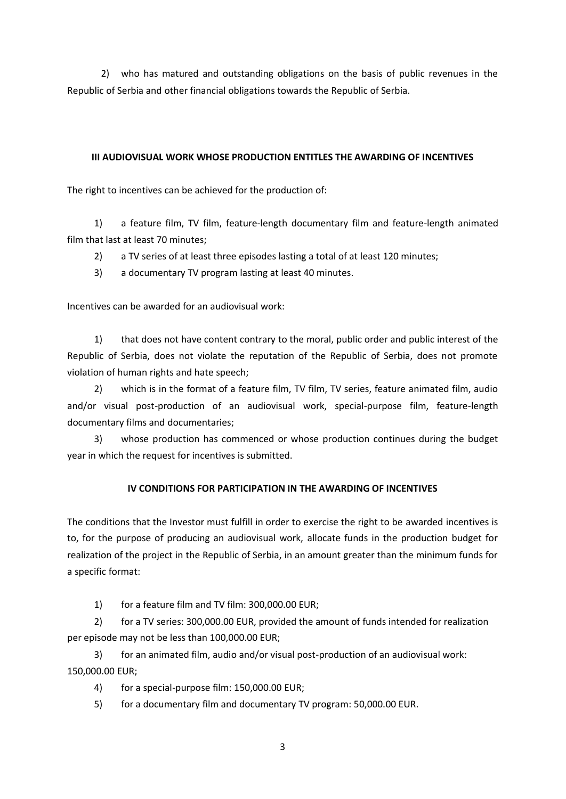2) who has matured and outstanding obligations on the basis of public revenues in the Republic of Serbia and other financial obligations towards the Republic of Serbia.

## **III AUDIOVISUAL WORK WHOSE PRODUCTION ENTITLES THE AWARDING OF INCENTIVES**

The right to incentives can be achieved for the production of:

1) a feature film, TV film, feature-length documentary film and feature-length animated film that last at least 70 minutes;

2) a TV series of at least three episodes lasting a total of at least 120 minutes;

3) a documentary TV program lasting at least 40 minutes.

Incentives can be awarded for an audiovisual work:

1) that does not have content contrary to the moral, public order and public interest of the Republic of Serbia, does not violate the reputation of the Republic of Serbia, does not promote violation of human rights and hate speech;

2) which is in the format of a feature film, TV film, TV series, feature animated film, audio and/or visual post-production of an audiovisual work, special-purpose film, feature-length documentary films and documentaries;

3) whose production has commenced or whose production continues during the budget year in which the request for incentives is submitted.

## **IV CONDITIONS FOR PARTICIPATION IN THE AWARDING OF INCENTIVES**

The conditions that the Investor must fulfill in order to exercise the right to be awarded incentives is to, for the purpose of producing an audiovisual work, allocate funds in the production budget for realization of the project in the Republic of Serbia, in an amount greater than the minimum funds for a specific format:

1) for a feature film and TV film: 300,000.00 EUR;

2) for a TV series: 300,000.00 EUR, provided the amount of funds intended for realization per episode may not be less than 100,000.00 EUR;

3) for an animated film, audio and/or visual post-production of an audiovisual work: 150,000.00 EUR;

4) for a special-purpose film: 150,000.00 EUR;

5) for a documentary film and documentary TV program: 50,000.00 EUR.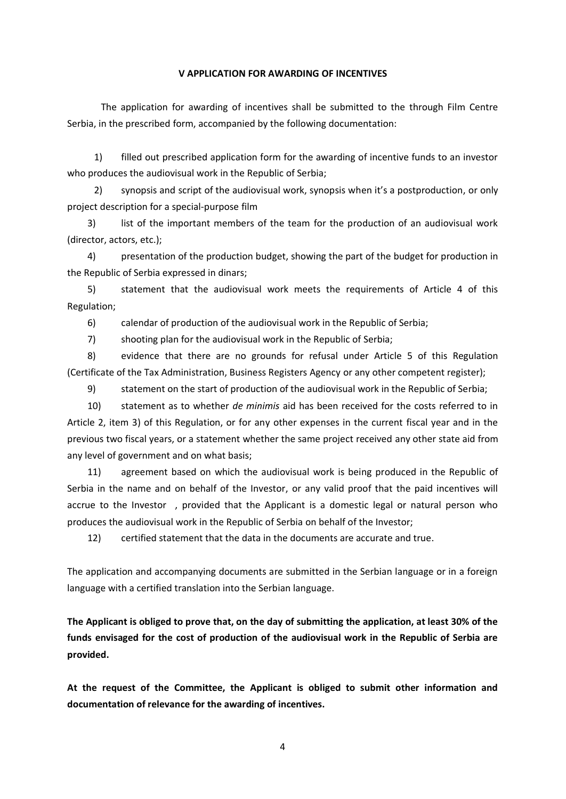#### **V APPLICATION FOR AWARDING OF INCENTIVES**

The application for awarding of incentives shall be submitted to the through Film Centre Serbia, in the prescribed form, accompanied by the following documentation:

1) filled out prescribed application form for the awarding of incentive funds to an investor who produces the audiovisual work in the Republic of Serbia;

2) synopsis and script of the audiovisual work, synopsis when it's a postproduction, or only project description for a special-purpose film

3) list of the important members of the team for the production of an audiovisual work (director, actors, etc.);

4) presentation of the production budget, showing the part of the budget for production in the Republic of Serbia expressed in dinars;

5) statement that the audiovisual work meets the requirements of Article 4 of this Regulation;

6) calendar of production of the audiovisual work in the Republic of Serbia;

7) shooting plan for the audiovisual work in the Republic of Serbia;

8) evidence that there are no grounds for refusal under Article 5 of this Regulation (Certificate of the Tax Administration, Business Registers Agency or any other competent register);

9) statement on the start of production of the audiovisual work in the Republic of Serbia;

10) statement as to whether *de minimis* aid has been received for the costs referred to in Article 2, item 3) of this Regulation, or for any other expenses in the current fiscal year and in the previous two fiscal years, or a statement whether the same project received any other state aid from any level of government and on what basis;

11) agreement based on which the audiovisual work is being produced in the Republic of Serbia in the name and on behalf of the Investor, or any valid proof that the paid incentives will accrue to the Investor , provided that the Applicant is a domestic legal or natural person who produces the audiovisual work in the Republic of Serbia on behalf of the Investor;

12) certified statement that the data in the documents are accurate and true.

The application and accompanying documents are submitted in the Serbian language or in a foreign language with a certified translation into the Serbian language.

**The Applicant is obliged to prove that, on the day of submitting the application, at least 30% of the funds envisaged for the cost of production of the audiovisual work in the Republic of Serbia are provided.**

**At the request of the Committee, the Applicant is obliged to submit other information and documentation of relevance for the awarding of incentives.**

4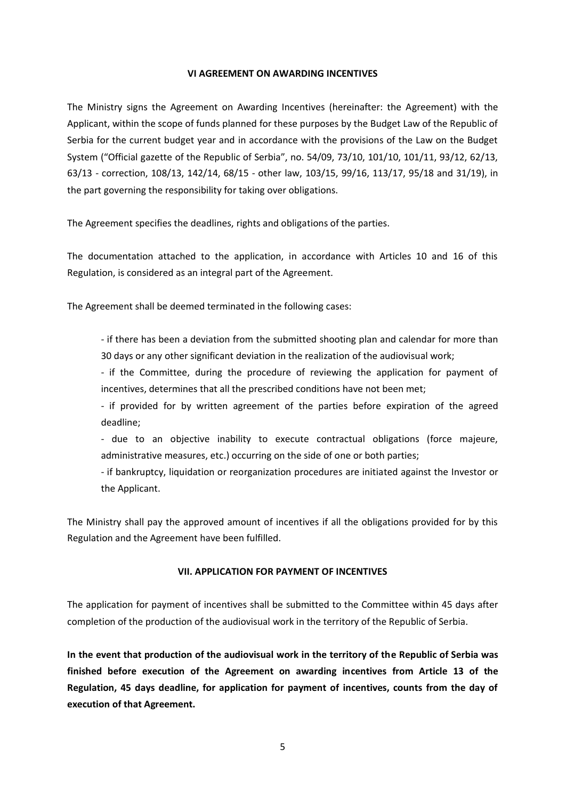#### **VI AGREEMENT ON AWARDING INCENTIVES**

The Ministry signs the Agreement on Awarding Incentives (hereinafter: the Agreement) with the Applicant, within the scope of funds planned for these purposes by the Budget Law of the Republic of Serbia for the current budget year and in accordance with the provisions of the Law on the Budget System ("Official gazette of the Republic of Serbia", no. 54/09, 73/10, 101/10, 101/11, 93/12, 62/13, 63/13 - correction, 108/13, 142/14, 68/15 - other law, 103/15, 99/16, 113/17, 95/18 and 31/19), in the part governing the responsibility for taking over obligations.

The Agreement specifies the deadlines, rights and obligations of the parties.

The documentation attached to the application, in accordance with Articles 10 and 16 of this Regulation, is considered as an integral part of the Agreement.

The Agreement shall be deemed terminated in the following cases:

- if there has been a deviation from the submitted shooting plan and calendar for more than 30 days or any other significant deviation in the realization of the audiovisual work;

- if the Committee, during the procedure of reviewing the application for payment of incentives, determines that all the prescribed conditions have not been met;

- if provided for by written agreement of the parties before expiration of the agreed deadline;

- due to an objective inability to execute contractual obligations (force majeure, administrative measures, etc.) occurring on the side of one or both parties;

- if bankruptcy, liquidation or reorganization procedures are initiated against the Investor or the Applicant.

The Ministry shall pay the approved amount of incentives if all the obligations provided for by this Regulation and the Agreement have been fulfilled.

### **VII. APPLICATION FOR PAYMENT OF INCENTIVES**

The application for payment of incentives shall be submitted to the Committee within 45 days after completion of the production of the audiovisual work in the territory of the Republic of Serbia.

**In the event that production of the audiovisual work in the territory of the Republic of Serbia was finished before execution of the Agreement on awarding incentives from Article 13 of the Regulation, 45 days deadline, for application for payment of incentives, counts from the day of execution of that Agreement.**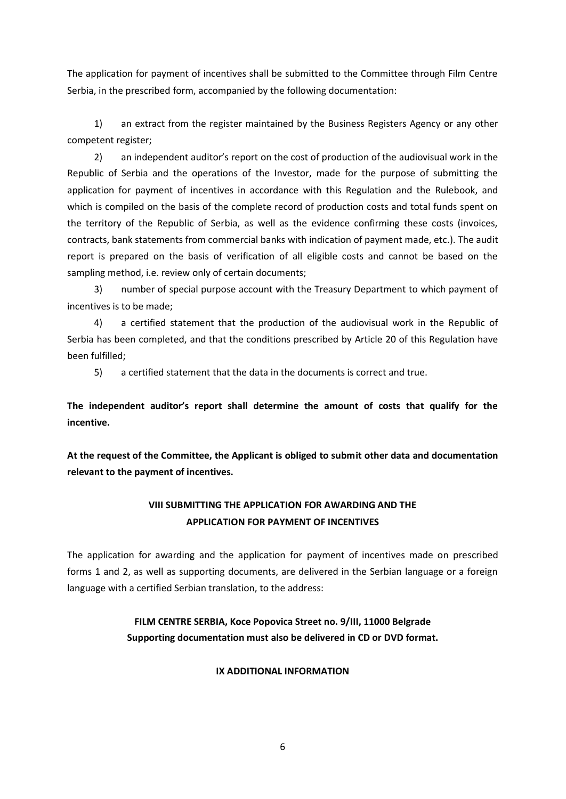The application for payment of incentives shall be submitted to the Committee through Film Centre Serbia, in the prescribed form, accompanied by the following documentation:

1) an extract from the register maintained by the Business Registers Agency or any other competent register;

2) an independent auditor's report on the cost of production of the audiovisual work in the Republic of Serbia and the operations of the Investor, made for the purpose of submitting the application for payment of incentives in accordance with this Regulation and the Rulebook, and which is compiled on the basis of the complete record of production costs and total funds spent on the territory of the Republic of Serbia, as well as the evidence confirming these costs (invoices, contracts, bank statements from commercial banks with indication of payment made, etc.). The audit report is prepared on the basis of verification of all eligible costs and cannot be based on the sampling method, i.e. review only of certain documents;

3) number of special purpose account with the Treasury Department to which payment of incentives is to be made;

4) a certified statement that the production of the audiovisual work in the Republic of Serbia has been completed, and that the conditions prescribed by Article 20 of this Regulation have been fulfilled;

5) a certified statement that the data in the documents is correct and true.

**The independent auditor's report shall determine the amount of costs that qualify for the incentive.**

**At the request of the Committee, the Applicant is obliged to submit other data and documentation relevant to the payment of incentives.**

## **VIII SUBMITTING THE APPLICATION FOR AWARDING AND THE APPLICATION FOR PAYMENT OF INCENTIVES**

The application for awarding and the application for payment of incentives made on prescribed forms 1 and 2, as well as supporting documents, are delivered in the Serbian language or a foreign language with a certified Serbian translation, to the address:

## **FILM CENTRE SERBIA, Koce Popovica Street no. 9/III, 11000 Belgrade Supporting documentation must also be delivered in CD or DVD format.**

#### **IX ADDITIONAL INFORMATION**